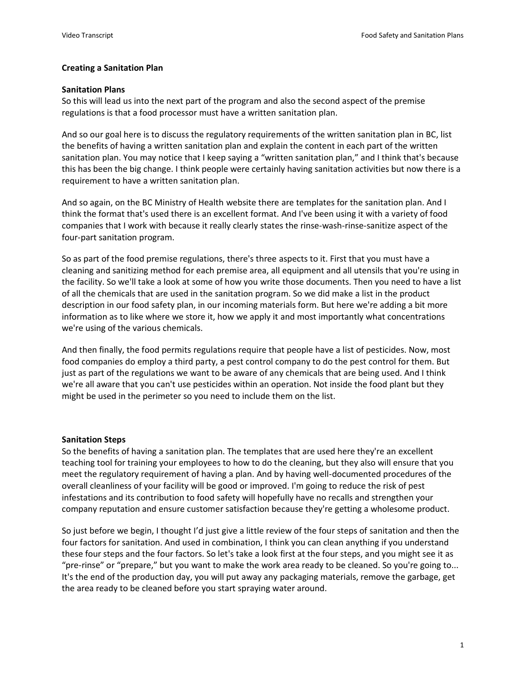## **Creating a Sanitation Plan**

## **Sanitation Plans**

So this will lead us into the next part of the program and also the second aspect of the premise regulations is that a food processor must have a written sanitation plan.

And so our goal here is to discuss the regulatory requirements of the written sanitation plan in BC, list the benefits of having a written sanitation plan and explain the content in each part of the written sanitation plan. You may notice that I keep saying a "written sanitation plan," and I think that's because this has been the big change. I think people were certainly having sanitation activities but now there is a requirement to have a written sanitation plan.

And so again, on the BC Ministry of Health website there are templates for the sanitation plan. And I think the format that's used there is an excellent format. And I've been using it with a variety of food companies that I work with because it really clearly states the rinse-wash-rinse-sanitize aspect of the four-part sanitation program.

So as part of the food premise regulations, there's three aspects to it. First that you must have a cleaning and sanitizing method for each premise area, all equipment and all utensils that you're using in the facility. So we'll take a look at some of how you write those documents. Then you need to have a list of all the chemicals that are used in the sanitation program. So we did make a list in the product description in our food safety plan, in our incoming materials form. But here we're adding a bit more information as to like where we store it, how we apply it and most importantly what concentrations we're using of the various chemicals.

And then finally, the food permits regulations require that people have a list of pesticides. Now, most food companies do employ a third party, a pest control company to do the pest control for them. But just as part of the regulations we want to be aware of any chemicals that are being used. And I think we're all aware that you can't use pesticides within an operation. Not inside the food plant but they might be used in the perimeter so you need to include them on the list.

## **Sanitation Steps**

So the benefits of having a sanitation plan. The templates that are used here they're an excellent teaching tool for training your employees to how to do the cleaning, but they also will ensure that you meet the regulatory requirement of having a plan. And by having well-documented procedures of the overall cleanliness of your facility will be good or improved. I'm going to reduce the risk of pest infestations and its contribution to food safety will hopefully have no recalls and strengthen your company reputation and ensure customer satisfaction because they're getting a wholesome product.

So just before we begin, I thought I'd just give a little review of the four steps of sanitation and then the four factors for sanitation. And used in combination, I think you can clean anything if you understand these four steps and the four factors. So let's take a look first at the four steps, and you might see it as "pre-rinse" or "prepare," but you want to make the work area ready to be cleaned. So you're going to... It's the end of the production day, you will put away any packaging materials, remove the garbage, get the area ready to be cleaned before you start spraying water around.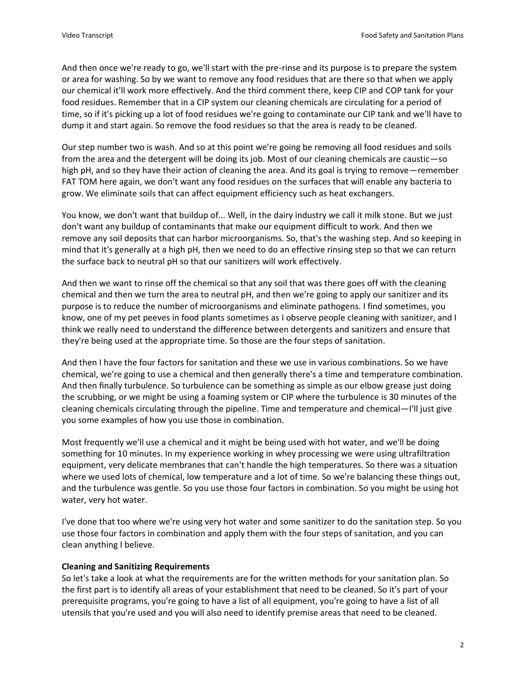And then once we're ready to go, we'll start with the pre-rinse and its purpose is to prepare the system or area for washing. So by we want to remove any food residues that are there so that when we apply our chemical it'll work more effectively. And the third comment there, keep CIP and COP tank for your food residues. Remember that in a CIP system our cleaning chemicals are circulating for a period of time, so if it's picking up a lot of food residues we're going to contaminate our CIP tank and we'll have to dump it and start again. So remove the food residues so that the area is ready to be cleaned.

Our step number two is wash. And so at this point we're going be removing all food residues and soils from the area and the detergent will be doing its job. Most of our cleaning chemicals are caustic—so high pH, and so they have their action of cleaning the area. And its goal is trying to remove—remember FAT TOM here again, we don't want any food residues on the surfaces that will enable any bacteria to grow. We eliminate soils that can affect equipment efficiency such as heat exchangers.

You know, we don't want that buildup of... Well, in the dairy industry we call it milk stone. But we just don't want any buildup of contaminants that make our equipment difficult to work. And then we remove any soil deposits that can harbor microorganisms. So, that's the washing step. And so keeping in mind that it's generally at a high pH, then we need to do an effective rinsing step so that we can return the surface back to neutral pH so that our sanitizers will work effectively.

And then we want to rinse off the chemical so that any soil that was there goes off with the cleaning chemical and then we turn the area to neutral pH, and then we're going to apply our sanitizer and its purpose is to reduce the number of microorganisms and eliminate pathogens. I find sometimes, you know, one of my pet peeves in food plants sometimes as I observe people cleaning with sanitizer, and I think we really need to understand the difference between detergents and sanitizers and ensure that they're being used at the appropriate time. So those are the four steps of sanitation.

And then I have the four factors for sanitation and these we use in various combinations. So we have chemical, we're going to use a chemical and then generally there's a time and temperature combination. And then finally turbulence. So turbulence can be something as simple as our elbow grease just doing the scrubbing, or we might be using a foaming system or CIP where the turbulence is 30 minutes of the cleaning chemicals circulating through the pipeline. Time and temperature and chemical—I'll just give you some examples of how you use those in combination.

Most frequently we'll use a chemical and it might be being used with hot water, and we'll be doing something for 10 minutes. In my experience working in whey processing we were using ultrafiltration equipment, very delicate membranes that can't handle the high temperatures. So there was a situation where we used lots of chemical, low temperature and a lot of time. So we're balancing these things out, and the turbulence was gentle. So you use those four factors in combination. So you might be using hot water, very hot water.

I've done that too where we're using very hot water and some sanitizer to do the sanitation step. So you use those four factors in combination and apply them with the four steps of sanitation, and you can clean anything I believe.

# **Cleaning and Sanitizing Requirements**

So let's take a look at what the requirements are for the written methods for your sanitation plan. So the first part is to identify all areas of your establishment that need to be cleaned. So it's part of your prerequisite programs, you're going to have a list of all equipment, you're going to have a list of all utensils that you're used and you will also need to identify premise areas that need to be cleaned.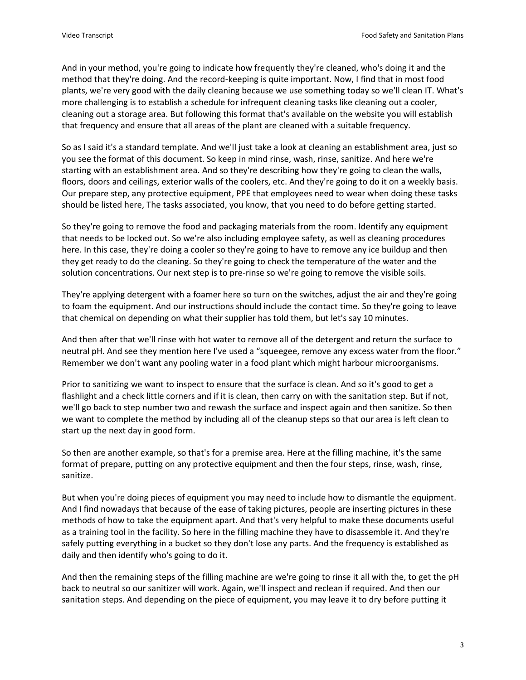And in your method, you're going to indicate how frequently they're cleaned, who's doing it and the method that they're doing. And the record-keeping is quite important. Now, I find that in most food plants, we're very good with the daily cleaning because we use something today so we'll clean IT. What's more challenging is to establish a schedule for infrequent cleaning tasks like cleaning out a cooler, cleaning out a storage area. But following this format that's available on the website you will establish that frequency and ensure that all areas of the plant are cleaned with a suitable frequency.

So as I said it's a standard template. And we'll just take a look at cleaning an establishment area, just so you see the format of this document. So keep in mind rinse, wash, rinse, sanitize. And here we're starting with an establishment area. And so they're describing how they're going to clean the walls, floors, doors and ceilings, exterior walls of the coolers, etc. And they're going to do it on a weekly basis. Our prepare step, any protective equipment, PPE that employees need to wear when doing these tasks should be listed here, The tasks associated, you know, that you need to do before getting started.

So they're going to remove the food and packaging materials from the room. Identify any equipment that needs to be locked out. So we're also including employee safety, as well as cleaning procedures here. In this case, they're doing a cooler so they're going to have to remove any ice buildup and then they get ready to do the cleaning. So they're going to check the temperature of the water and the solution concentrations. Our next step is to pre-rinse so we're going to remove the visible soils.

They're applying detergent with a foamer here so turn on the switches, adjust the air and they're going to foam the equipment. And our instructions should include the contact time. So they're going to leave that chemical on depending on what their supplier has told them, but let's say 10 minutes.

And then after that we'll rinse with hot water to remove all of the detergent and return the surface to neutral pH. And see they mention here I've used a "squeegee, remove any excess water from the floor." Remember we don't want any pooling water in a food plant which might harbour microorganisms.

Prior to sanitizing we want to inspect to ensure that the surface is clean. And so it's good to get a flashlight and a check little corners and if it is clean, then carry on with the sanitation step. But if not, we'll go back to step number two and rewash the surface and inspect again and then sanitize. So then we want to complete the method by including all of the cleanup steps so that our area is left clean to start up the next day in good form.

So then are another example, so that's for a premise area. Here at the filling machine, it's the same format of prepare, putting on any protective equipment and then the four steps, rinse, wash, rinse, sanitize.

But when you're doing pieces of equipment you may need to include how to dismantle the equipment. And I find nowadays that because of the ease of taking pictures, people are inserting pictures in these methods of how to take the equipment apart. And that's very helpful to make these documents useful as a training tool in the facility. So here in the filling machine they have to disassemble it. And they're safely putting everything in a bucket so they don't lose any parts. And the frequency is established as daily and then identify who's going to do it.

And then the remaining steps of the filling machine are we're going to rinse it all with the, to get the pH back to neutral so our sanitizer will work. Again, we'll inspect and reclean if required. And then our sanitation steps. And depending on the piece of equipment, you may leave it to dry before putting it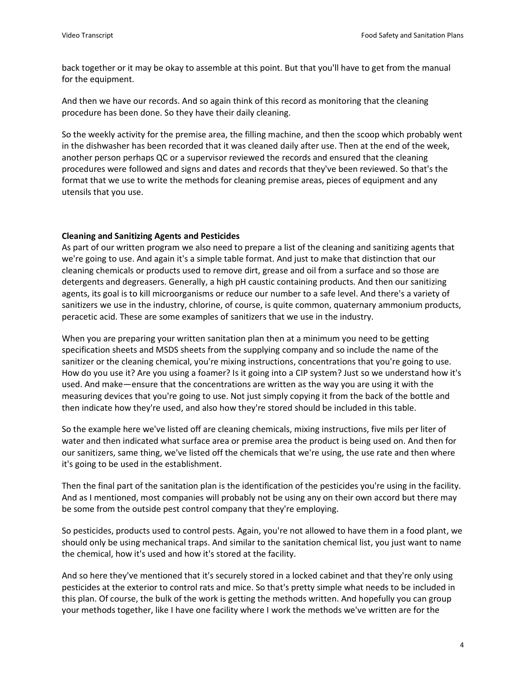back together or it may be okay to assemble at this point. But that you'll have to get from the manual for the equipment.

And then we have our records. And so again think of this record as monitoring that the cleaning procedure has been done. So they have their daily cleaning.

So the weekly activity for the premise area, the filling machine, and then the scoop which probably went in the dishwasher has been recorded that it was cleaned daily after use. Then at the end of the week, another person perhaps QC or a supervisor reviewed the records and ensured that the cleaning procedures were followed and signs and dates and records that they've been reviewed. So that's the format that we use to write the methods for cleaning premise areas, pieces of equipment and any utensils that you use.

# **Cleaning and Sanitizing Agents and Pesticides**

As part of our written program we also need to prepare a list of the cleaning and sanitizing agents that we're going to use. And again it's a simple table format. And just to make that distinction that our cleaning chemicals or products used to remove dirt, grease and oil from a surface and so those are detergents and degreasers. Generally, a high pH caustic containing products. And then our sanitizing agents, its goal is to kill microorganisms or reduce our number to a safe level. And there's a variety of sanitizers we use in the industry, chlorine, of course, is quite common, quaternary ammonium products, peracetic acid. These are some examples of sanitizers that we use in the industry.

When you are preparing your written sanitation plan then at a minimum you need to be getting specification sheets and MSDS sheets from the supplying company and so include the name of the sanitizer or the cleaning chemical, you're mixing instructions, concentrations that you're going to use. How do you use it? Are you using a foamer? Is it going into a CIP system? Just so we understand how it's used. And make—ensure that the concentrations are written as the way you are using it with the measuring devices that you're going to use. Not just simply copying it from the back of the bottle and then indicate how they're used, and also how they're stored should be included in this table.

So the example here we've listed off are cleaning chemicals, mixing instructions, five mils per liter of water and then indicated what surface area or premise area the product is being used on. And then for our sanitizers, same thing, we've listed off the chemicals that we're using, the use rate and then where it's going to be used in the establishment.

Then the final part of the sanitation plan is the identification of the pesticides you're using in the facility. And as I mentioned, most companies will probably not be using any on their own accord but there may be some from the outside pest control company that they're employing.

So pesticides, products used to control pests. Again, you're not allowed to have them in a food plant, we should only be using mechanical traps. And similar to the sanitation chemical list, you just want to name the chemical, how it's used and how it's stored at the facility.

And so here they've mentioned that it's securely stored in a locked cabinet and that they're only using pesticides at the exterior to control rats and mice. So that's pretty simple what needs to be included in this plan. Of course, the bulk of the work is getting the methods written. And hopefully you can group your methods together, like I have one facility where I work the methods we've written are for the